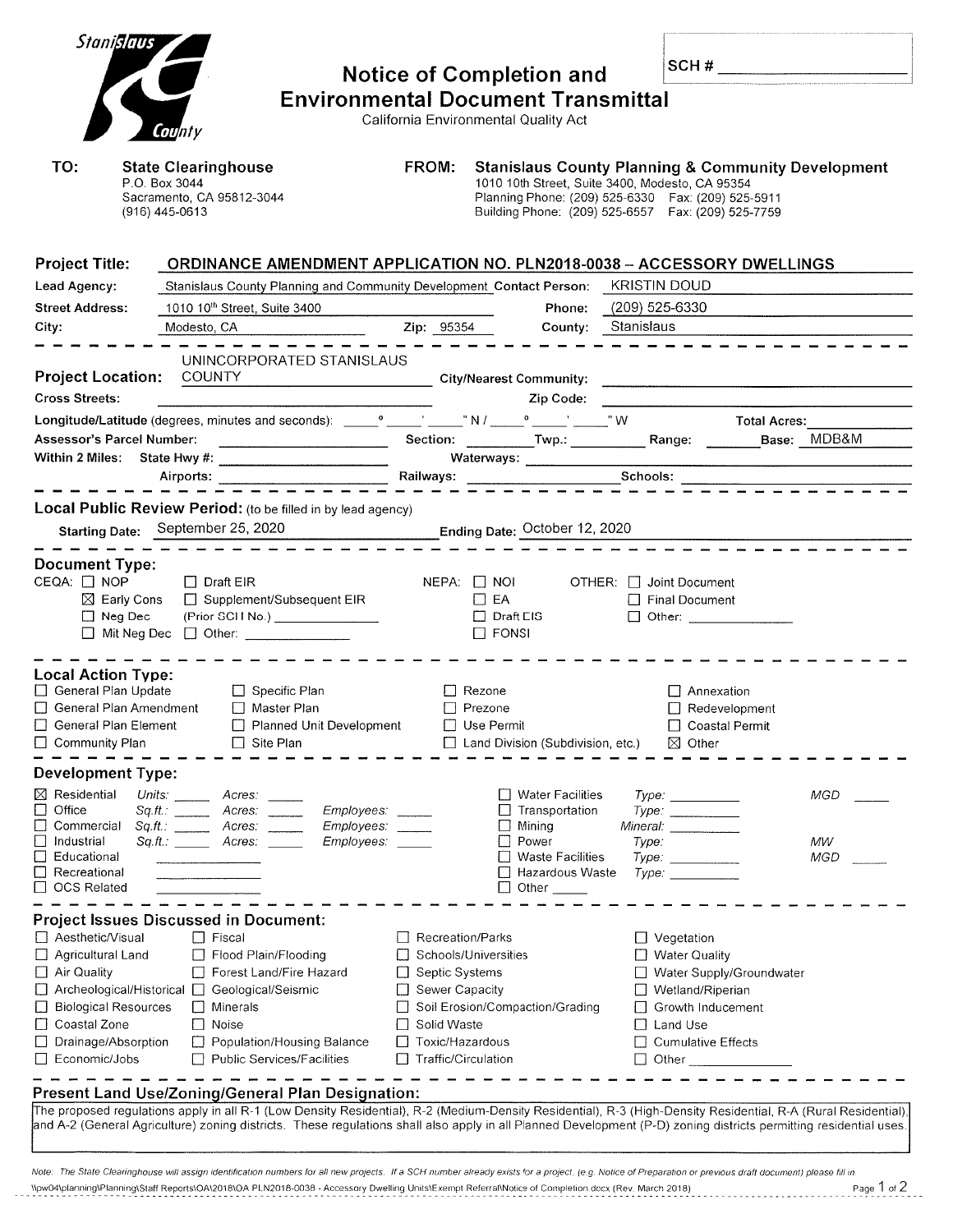| <b>Stanislaus</b>                                                                                                           |  |                                                                                                 |                                                                                                                                                                                                                                |                                           |                      |                                                 |                       |                                                                                                            |                                                                                                                                                                   |
|-----------------------------------------------------------------------------------------------------------------------------|--|-------------------------------------------------------------------------------------------------|--------------------------------------------------------------------------------------------------------------------------------------------------------------------------------------------------------------------------------|-------------------------------------------|----------------------|-------------------------------------------------|-----------------------|------------------------------------------------------------------------------------------------------------|-------------------------------------------------------------------------------------------------------------------------------------------------------------------|
|                                                                                                                             |  |                                                                                                 |                                                                                                                                                                                                                                | <b>Notice of Completion and</b>           |                      |                                                 |                       | SCH # $\qquad \qquad$                                                                                      |                                                                                                                                                                   |
|                                                                                                                             |  |                                                                                                 |                                                                                                                                                                                                                                | <b>Environmental Document Transmittal</b> |                      |                                                 |                       |                                                                                                            |                                                                                                                                                                   |
|                                                                                                                             |  | County                                                                                          |                                                                                                                                                                                                                                |                                           |                      | California Environmental Quality Act            |                       |                                                                                                            |                                                                                                                                                                   |
| TO:                                                                                                                         |  | <b>State Clearinghouse</b>                                                                      |                                                                                                                                                                                                                                | FROM:                                     |                      |                                                 |                       |                                                                                                            | <b>Stanislaus County Planning &amp; Community Development</b>                                                                                                     |
|                                                                                                                             |  | P.O. Box 3044                                                                                   |                                                                                                                                                                                                                                |                                           |                      | 1010 10th Street, Suite 3400, Modesto, CA 95354 |                       |                                                                                                            |                                                                                                                                                                   |
|                                                                                                                             |  | Sacramento, CA 95812-3044<br>(916) 445-0613                                                     |                                                                                                                                                                                                                                |                                           |                      |                                                 |                       | Planning Phone: (209) 525-6330  Fax: (209) 525-5911<br>Building Phone: (209) 525-6557  Fax: (209) 525-7759 |                                                                                                                                                                   |
|                                                                                                                             |  |                                                                                                 |                                                                                                                                                                                                                                |                                           |                      |                                                 |                       |                                                                                                            |                                                                                                                                                                   |
| <b>Project Title:</b>                                                                                                       |  |                                                                                                 | <b>ORDINANCE AMENDMENT APPLICATION NO. PLN2018-0038 - ACCESSORY DWELLINGS</b>                                                                                                                                                  |                                           |                      |                                                 |                       |                                                                                                            |                                                                                                                                                                   |
| Lead Agency:<br>Stanislaus County Planning and Community Development Contact Person: KRISTIN DOUD<br><b>Street Address:</b> |  |                                                                                                 |                                                                                                                                                                                                                                |                                           |                      |                                                 |                       |                                                                                                            |                                                                                                                                                                   |
|                                                                                                                             |  | 1010 10 <sup>th</sup> Street, Suite 3400                                                        |                                                                                                                                                                                                                                |                                           |                      |                                                 | Phone: (209) 525-6330 |                                                                                                            |                                                                                                                                                                   |
| City:                                                                                                                       |  |                                                                                                 | Modesto, CA New York CA New York CA New York CA New York CA New York CA New York CA New York CA New York CA New York CA New York CA New York CA New York CA New York CA New York CA New York CA New York CA New York CA New Yo |                                           | <b>Zip:</b> 95354    |                                                 | County: Stanislaus    |                                                                                                            |                                                                                                                                                                   |
|                                                                                                                             |  |                                                                                                 | UNINCORPORATED STANISLAUS                                                                                                                                                                                                      |                                           |                      |                                                 |                       |                                                                                                            |                                                                                                                                                                   |
| <b>Project Location:</b>                                                                                                    |  | <b>COUNTY</b>                                                                                   | <b>City/Nearest Community: Called Access 2018 19:40 Community: Community: Community: Community: Community: Community: Community: Community: Community: Community: Community: Community: Community: C</b>                       |                                           |                      |                                                 |                       |                                                                                                            |                                                                                                                                                                   |
| <b>Cross Streets:</b>                                                                                                       |  |                                                                                                 |                                                                                                                                                                                                                                |                                           |                      | Zip Code:                                       |                       |                                                                                                            |                                                                                                                                                                   |
|                                                                                                                             |  |                                                                                                 |                                                                                                                                                                                                                                |                                           |                      |                                                 |                       | Total Acres:                                                                                               |                                                                                                                                                                   |
| <b>Assessor's Parcel Number:</b>                                                                                            |  |                                                                                                 |                                                                                                                                                                                                                                |                                           |                      |                                                 |                       |                                                                                                            |                                                                                                                                                                   |
|                                                                                                                             |  |                                                                                                 |                                                                                                                                                                                                                                |                                           |                      |                                                 |                       |                                                                                                            |                                                                                                                                                                   |
|                                                                                                                             |  | Airports:                                                                                       |                                                                                                                                                                                                                                |                                           |                      |                                                 |                       |                                                                                                            |                                                                                                                                                                   |
|                                                                                                                             |  |                                                                                                 | Local Public Review Period: (to be filled in by lead agency)                                                                                                                                                                   |                                           |                      |                                                 |                       |                                                                                                            |                                                                                                                                                                   |
|                                                                                                                             |  | Starting Date: September 25, 2020                                                               |                                                                                                                                                                                                                                |                                           |                      |                                                 |                       |                                                                                                            |                                                                                                                                                                   |
|                                                                                                                             |  |                                                                                                 |                                                                                                                                                                                                                                |                                           |                      |                                                 |                       |                                                                                                            |                                                                                                                                                                   |
| <b>Document Type:</b><br>CEQA: □ NOP                                                                                        |  | $\Box$ Draft EIR                                                                                |                                                                                                                                                                                                                                |                                           |                      | $NEPA:$ $\Box$ $NOI$                            |                       | $OTHER: \Box$ Joint Document                                                                               |                                                                                                                                                                   |
|                                                                                                                             |  |                                                                                                 | $\boxtimes$ Early Cons $\Box$ Supplement/Subsequent EIR                                                                                                                                                                        |                                           | $\Box$ EA            |                                                 |                       | $\Box$ Final Document                                                                                      |                                                                                                                                                                   |
| $\Box$ Neg Dec                                                                                                              |  |                                                                                                 | (Prior SCH No.) _______________                                                                                                                                                                                                |                                           |                      | $\Box$ Draft EIS                                |                       | □ Other: _______________                                                                                   |                                                                                                                                                                   |
|                                                                                                                             |  | □ Mit Neg Dec □ Other: _____________                                                            |                                                                                                                                                                                                                                |                                           |                      | $\Box$ FONSI                                    |                       |                                                                                                            |                                                                                                                                                                   |
|                                                                                                                             |  |                                                                                                 |                                                                                                                                                                                                                                |                                           |                      |                                                 |                       |                                                                                                            |                                                                                                                                                                   |
| <b>Local Action Type:</b><br>General Plan Update                                                                            |  |                                                                                                 | $\Box$ Specific Plan                                                                                                                                                                                                           |                                           | $\Box$ Rezone        |                                                 |                       | □ Annexation                                                                                               |                                                                                                                                                                   |
| □ General Plan Amendment                                                                                                    |  |                                                                                                 | $\Box$ Master Plan                                                                                                                                                                                                             |                                           | $\Box$ Prezone       |                                                 |                       | $\Box$ Redevelopment                                                                                       |                                                                                                                                                                   |
| General Plan Element                                                                                                        |  |                                                                                                 | Planned Unit Development                                                                                                                                                                                                       |                                           | Use Permit<br>⊔      |                                                 |                       | □ Coastal Permit                                                                                           |                                                                                                                                                                   |
| □ Community Plan                                                                                                            |  | $\perp$                                                                                         | Site Plan                                                                                                                                                                                                                      |                                           |                      | Land Division (Subdivision, etc.)               |                       | $\boxtimes$ Other                                                                                          |                                                                                                                                                                   |
| <b>Development Type:</b>                                                                                                    |  |                                                                                                 |                                                                                                                                                                                                                                |                                           |                      |                                                 |                       |                                                                                                            |                                                                                                                                                                   |
| $\boxtimes$ Residential                                                                                                     |  | Units: $\frac{1}{\sqrt{1-\frac{1}{2}}\sqrt{1-\frac{1}{2}}\left(1-\frac{1}{2}\right)}$<br>Acres: |                                                                                                                                                                                                                                |                                           |                      | $\Box$ Water Facilities                         |                       |                                                                                                            | <b>MGD</b>                                                                                                                                                        |
| Office<br>Commercial                                                                                                        |  |                                                                                                 | Employees:<br>Employees:                                                                                                                                                                                                       |                                           |                      | Transportation<br>Minina                        |                       | Type:<br>Mineral: _____________                                                                            |                                                                                                                                                                   |
| Industrial                                                                                                                  |  | Sq.ft.: ______ Acres: _____                                                                     | Employees:                                                                                                                                                                                                                     |                                           |                      | Power                                           | Type:                 |                                                                                                            | MW                                                                                                                                                                |
| Educational<br>$\Box$<br>Recreational                                                                                       |  |                                                                                                 |                                                                                                                                                                                                                                |                                           |                      | <b>Waste Facilities</b><br>Hazardous Waste      |                       | Type:<br>Type:                                                                                             | MGD                                                                                                                                                               |
| <b>OCS Related</b>                                                                                                          |  |                                                                                                 |                                                                                                                                                                                                                                |                                           |                      | Other                                           |                       |                                                                                                            |                                                                                                                                                                   |
|                                                                                                                             |  |                                                                                                 |                                                                                                                                                                                                                                |                                           |                      |                                                 |                       |                                                                                                            |                                                                                                                                                                   |
| Aesthetic/Visual                                                                                                            |  | <b>Project Issues Discussed in Document:</b><br>$\Box$ Fiscal                                   |                                                                                                                                                                                                                                | Recreation/Parks                          |                      |                                                 |                       | $\Box$ Vegetation                                                                                          |                                                                                                                                                                   |
| Agricultural Land                                                                                                           |  | Flood Plain/Flooding                                                                            |                                                                                                                                                                                                                                |                                           | Schools/Universities |                                                 |                       | <b>Water Quality</b>                                                                                       |                                                                                                                                                                   |
| $\Box$ Air Quality                                                                                                          |  |                                                                                                 | Forest Land/Fire Hazard                                                                                                                                                                                                        | □ Septic Systems                          |                      |                                                 |                       | □ Water Supply/Groundwater                                                                                 |                                                                                                                                                                   |
|                                                                                                                             |  | □ Archeological/Historical □ Geological/Seismic                                                 |                                                                                                                                                                                                                                | Sewer Capacity                            |                      |                                                 |                       | Wetland/Riperian                                                                                           |                                                                                                                                                                   |
| ∐ Biological Resources<br>□ Coastal Zone                                                                                    |  | Minerals<br>$\perp$<br>TТ<br>Noise                                                              |                                                                                                                                                                                                                                |                                           | Solid Waste          | Soil Erosion/Compaction/Grading                 |                       | Growth Inducement<br>Land Use                                                                              |                                                                                                                                                                   |
| □ Drainage/Absorption                                                                                                       |  |                                                                                                 | Population/Housing Balance                                                                                                                                                                                                     | $\perp$                                   | Toxic/Hazardous      |                                                 |                       | □ Cumulative Effects                                                                                       |                                                                                                                                                                   |
| □ Economic/Jobs                                                                                                             |  |                                                                                                 | <b>Public Services/Facilities</b>                                                                                                                                                                                              | $\Box$ Traffic/Circulation                |                      |                                                 |                       |                                                                                                            |                                                                                                                                                                   |
|                                                                                                                             |  |                                                                                                 |                                                                                                                                                                                                                                |                                           |                      |                                                 |                       |                                                                                                            |                                                                                                                                                                   |
|                                                                                                                             |  |                                                                                                 | Present Land Use/Zoning/General Plan Designation:                                                                                                                                                                              |                                           |                      |                                                 |                       |                                                                                                            | The proposed regulations apply in all R-1 (Low Density Residential), R-2 (Medium-Density Residential), R-3 (High-Density Residential, R-A (Rural Residential),    |
|                                                                                                                             |  |                                                                                                 |                                                                                                                                                                                                                                |                                           |                      |                                                 |                       |                                                                                                            | and A-2 (General Agriculture) zoning districts. These regulations shall also apply in all Planned Development (P-D) zoning districts permitting residential uses. |

Note: The State Clearinghouse will assign identification numbers for all new projects. If a SCH number already exists for a project. (e.g. Notice of Preparation or previous draft document) please fill in. Page 1 of 2